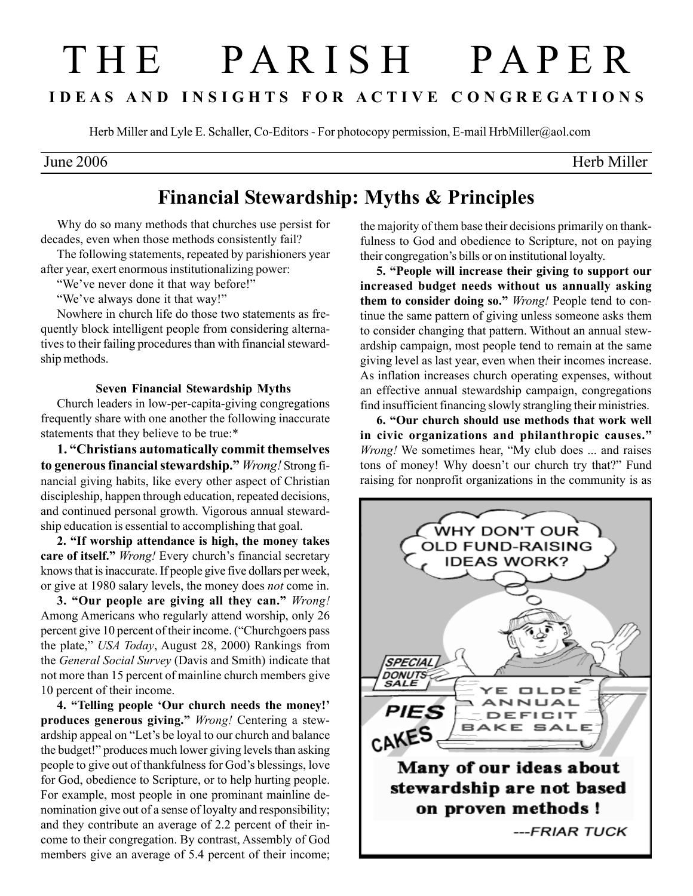# T H E P A R I S H P A P E R I D E A S A N D I N S I G H T S F O R A C T I V E C O N G R E G A T I O N S

Herb Miller and Lyle E. Schaller, Co-Editors - For photocopy permission, E-mail HrbMiller@aol.com

June 2006 Herb Miller

# Financial Stewardship: Myths & Principles

Why do so many methods that churches use persist for decades, even when those methods consistently fail?

The following statements, repeated by parishioners year after year, exert enormous institutionalizing power:

"We've never done it that way before!"

"We've always done it that way!"

Nowhere in church life do those two statements as frequently block intelligent people from considering alternatives to their failing procedures than with financial stewardship methods.

# Seven Financial Stewardship Myths

Church leaders in low-per-capita-giving congregations frequently share with one another the following inaccurate statements that they believe to be true:\*

1. "Christians automatically commit themselves to generous financial stewardship." Wrong! Strong financial giving habits, like every other aspect of Christian discipleship, happen through education, repeated decisions, and continued personal growth. Vigorous annual stewardship education is essential to accomplishing that goal.

2. "If worship attendance is high, the money takes care of itself." Wrong! Every church's financial secretary knows that is inaccurate. If people give five dollars per week, or give at 1980 salary levels, the money does not come in.

3. "Our people are giving all they can." Wrong! Among Americans who regularly attend worship, only 26 percent give 10 percent of their income. ("Churchgoers pass the plate," USA Today, August 28, 2000) Rankings from the General Social Survey (Davis and Smith) indicate that not more than 15 percent of mainline church members give 10 percent of their income.

4. "Telling people 'Our church needs the money!' produces generous giving." Wrong! Centering a stewardship appeal on "Let's be loyal to our church and balance the budget!" produces much lower giving levels than asking people to give out of thankfulness for God's blessings, love for God, obedience to Scripture, or to help hurting people. For example, most people in one prominant mainline denomination give out of a sense of loyalty and responsibility; and they contribute an average of 2.2 percent of their income to their congregation. By contrast, Assembly of God members give an average of 5.4 percent of their income;

the majority of them base their decisions primarily on thankfulness to God and obedience to Scripture, not on paying their congregation's bills or on institutional loyalty.

5. "People will increase their giving to support our increased budget needs without us annually asking them to consider doing so." *Wrong!* People tend to continue the same pattern of giving unless someone asks them to consider changing that pattern. Without an annual stewardship campaign, most people tend to remain at the same giving level as last year, even when their incomes increase. As inflation increases church operating expenses, without an effective annual stewardship campaign, congregations find insufficient financing slowly strangling their ministries.

6. "Our church should use methods that work well in civic organizations and philanthropic causes." Wrong! We sometimes hear, "My club does ... and raises tons of money! Why doesn't our church try that?" Fund raising for nonprofit organizations in the community is as